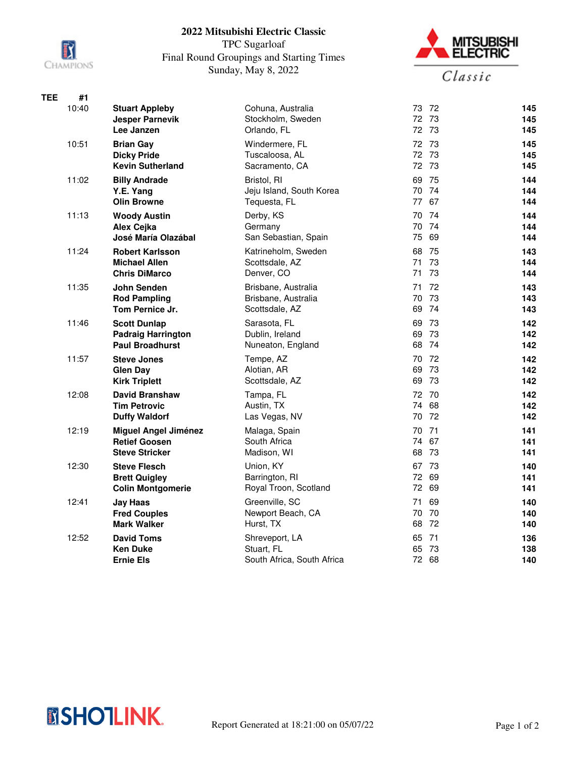

## **2022 Mitsubishi Electric Classic**

TPC Sugarloaf Final Round Groupings and Starting Times Sunday, May 8, 2022



| TEE | #1    |                                                 |                                          |                |            |
|-----|-------|-------------------------------------------------|------------------------------------------|----------------|------------|
|     | 10:40 | <b>Stuart Appleby</b><br><b>Jesper Parnevik</b> | Cohuna, Australia<br>Stockholm, Sweden   | 73 72<br>72 73 | 145<br>145 |
|     |       | Lee Janzen                                      | Orlando, FL                              | 72 73          | 145        |
|     | 10:51 | <b>Brian Gay</b>                                | Windermere, FL                           | 72 73          | 145        |
|     |       | <b>Dicky Pride</b>                              | Tuscaloosa, AL                           | 72 73          | 145        |
|     |       | <b>Kevin Sutherland</b>                         | Sacramento, CA                           | 72 73          | 145        |
|     | 11:02 | <b>Billy Andrade</b>                            | Bristol, RI                              | 69<br>75       | 144        |
|     |       | Y.E. Yang                                       | Jeju Island, South Korea                 | 70 74          | 144        |
|     |       | <b>Olin Browne</b>                              | Tequesta, FL                             | 77 67          | 144        |
|     | 11:13 | <b>Woody Austin</b>                             | Derby, KS<br>Germany                     | 70 74<br>70 74 | 144<br>144 |
|     |       | Alex Cejka<br>José María Olazábal               | San Sebastian, Spain                     | 75<br>69       | 144        |
|     | 11:24 | <b>Robert Karlsson</b>                          | Katrineholm, Sweden                      | 68 75          | 143        |
|     |       | <b>Michael Allen</b>                            | Scottsdale, AZ                           | 73<br>71       | 144        |
|     |       | <b>Chris DiMarco</b>                            | Denver, CO                               | 71 73          | 144        |
|     | 11:35 | John Senden                                     | Brisbane, Australia                      | 71<br>72       | 143        |
|     |       | <b>Rod Pampling</b>                             | Brisbane, Australia                      | 70 73          | 143        |
|     |       | Tom Pernice Jr.                                 | Scottsdale, AZ                           | 74<br>69       | 143        |
|     | 11:46 | <b>Scott Dunlap</b>                             | Sarasota, FL                             | 69 73          | 142        |
|     |       | <b>Padraig Harrington</b>                       | Dublin, Ireland                          | 69 73          | 142        |
|     |       | <b>Paul Broadhurst</b>                          | Nuneaton, England                        | 68 74          | 142        |
|     | 11:57 | <b>Steve Jones</b>                              | Tempe, AZ                                | 70 72          | 142        |
|     |       | <b>Glen Day</b><br><b>Kirk Triplett</b>         | Alotian, AR<br>Scottsdale, AZ            | 69 73<br>69 73 | 142<br>142 |
|     | 12:08 | <b>David Branshaw</b>                           | Tampa, FL                                | 72 70          | 142        |
|     |       | <b>Tim Petrovic</b>                             | Austin, TX                               | 74 68          | 142        |
|     |       | <b>Duffy Waldorf</b>                            | Las Vegas, NV                            | 70<br>- 72     | 142        |
|     | 12:19 | <b>Miguel Angel Jiménez</b>                     | Malaga, Spain                            | 70 71          | 141        |
|     |       | <b>Retief Goosen</b>                            | South Africa                             | 74 67          | 141        |
|     |       | <b>Steve Stricker</b>                           | Madison, WI                              | - 73<br>68     | 141        |
|     | 12:30 | <b>Steve Flesch</b>                             | Union, KY                                | 67 73          | 140        |
|     |       | <b>Brett Quigley</b>                            | Barrington, RI                           | 72 69          | 141        |
|     |       | <b>Colin Montgomerie</b>                        | Royal Troon, Scotland                    | 72 69          | 141        |
|     | 12:41 | <b>Jay Haas</b>                                 | Greenville, SC                           | 69<br>71       | 140        |
|     |       | <b>Fred Couples</b>                             | Newport Beach, CA                        | 70 70          | 140        |
|     |       | <b>Mark Walker</b>                              | Hurst, TX                                | 68 72          | 140        |
|     | 12:52 | <b>David Toms</b>                               | Shreveport, LA                           | 65 71<br>65 73 | 136        |
|     |       | <b>Ken Duke</b><br><b>Ernie Els</b>             | Stuart, FL<br>South Africa, South Africa | 72 68          | 138<br>140 |
|     |       |                                                 |                                          |                |            |